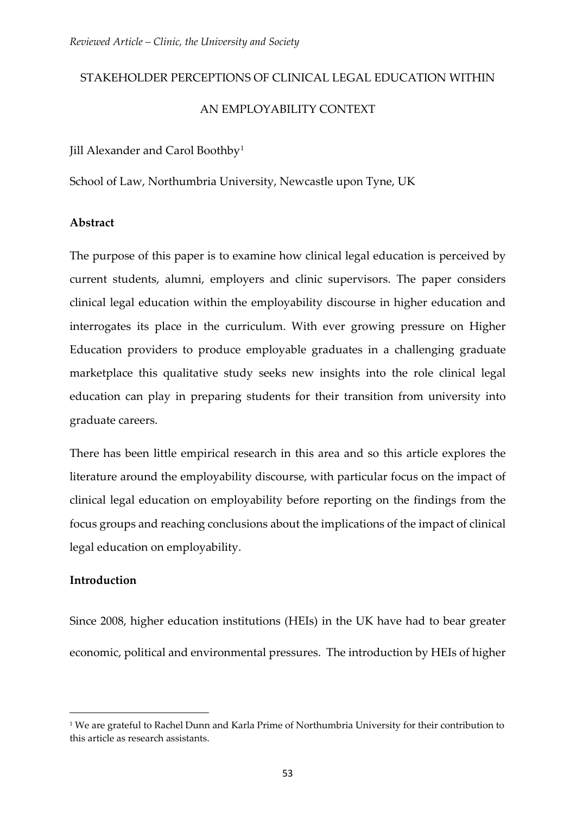# STAKEHOLDER PERCEPTIONS OF CLINICAL LEGAL EDUCATION WITHIN AN EMPLOYABILITY CONTEXT

Jill Alexander and Carol Boothby<sup>[1](#page-0-0)</sup>

School of Law, Northumbria University, Newcastle upon Tyne, UK

# **Abstract**

The purpose of this paper is to examine how clinical legal education is perceived by current students, alumni, employers and clinic supervisors. The paper considers clinical legal education within the employability discourse in higher education and interrogates its place in the curriculum. With ever growing pressure on Higher Education providers to produce employable graduates in a challenging graduate marketplace this qualitative study seeks new insights into the role clinical legal education can play in preparing students for their transition from university into graduate careers.

There has been little empirical research in this area and so this article explores the literature around the employability discourse, with particular focus on the impact of clinical legal education on employability before reporting on the findings from the focus groups and reaching conclusions about the implications of the impact of clinical legal education on employability.

# **Introduction**

-

Since 2008, higher education institutions (HEIs) in the UK have had to bear greater economic, political and environmental pressures. The introduction by HEIs of higher

<span id="page-0-0"></span><sup>1</sup> We are grateful to Rachel Dunn and Karla Prime of Northumbria University for their contribution to this article as research assistants.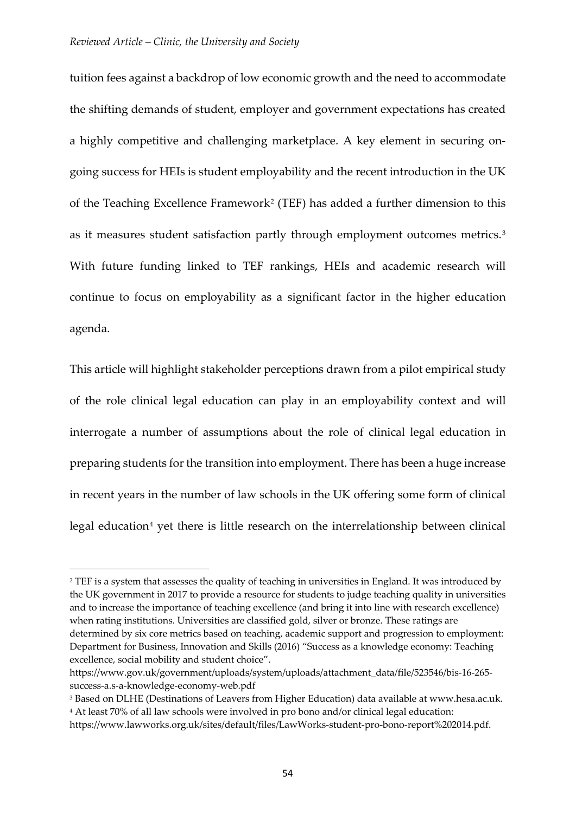<u>.</u>

tuition fees against a backdrop of low economic growth and the need to accommodate the shifting demands of student, employer and government expectations has created a highly competitive and challenging marketplace. A key element in securing ongoing success for HEIs is student employability and the recent introduction in the UK of the Teaching Excellence Framework[2](#page-1-0) (TEF) has added a further dimension to this as it measures student satisfaction partly through employment outcomes metrics.[3](#page-1-1) With future funding linked to TEF rankings, HEIs and academic research will continue to focus on employability as a significant factor in the higher education agenda.

This article will highlight stakeholder perceptions drawn from a pilot empirical study of the role clinical legal education can play in an employability context and will interrogate a number of assumptions about the role of clinical legal education in preparing students for the transition into employment. There has been a huge increase in recent years in the number of law schools in the UK offering some form of clinical legal education<sup>[4](#page-1-2)</sup> yet there is little research on the interrelationship between clinical

<span id="page-1-0"></span><sup>&</sup>lt;sup>2</sup> TEF is a system that assesses the quality of teaching in universities in England. It was introduced by the UK government in 2017 to provide a resource for students to judge teaching quality in universities and to increase the importance of teaching excellence (and bring it into line with research excellence) when rating institutions. Universities are classified gold, silver or bronze. These ratings are determined by six core metrics based on teaching, academic support and progression to employment: Department for Business, Innovation and Skills (2016) "Success as a knowledge economy: Teaching excellence, social mobility and student choice".

https://www.gov.uk/government/uploads/system/uploads/attachment\_data/file/523546/bis-16-265 success-a.s-a-knowledge-economy-web.pdf

<span id="page-1-2"></span><span id="page-1-1"></span><sup>3</sup> Based on DLHE (Destinations of Leavers from Higher Education) data available at www.hesa.ac.uk. <sup>4</sup> At least 70% of all law schools were involved in pro bono and/or clinical legal education:

https://www.lawworks.org.uk/sites/default/files/LawWorks-student-pro-bono-report%202014.pdf.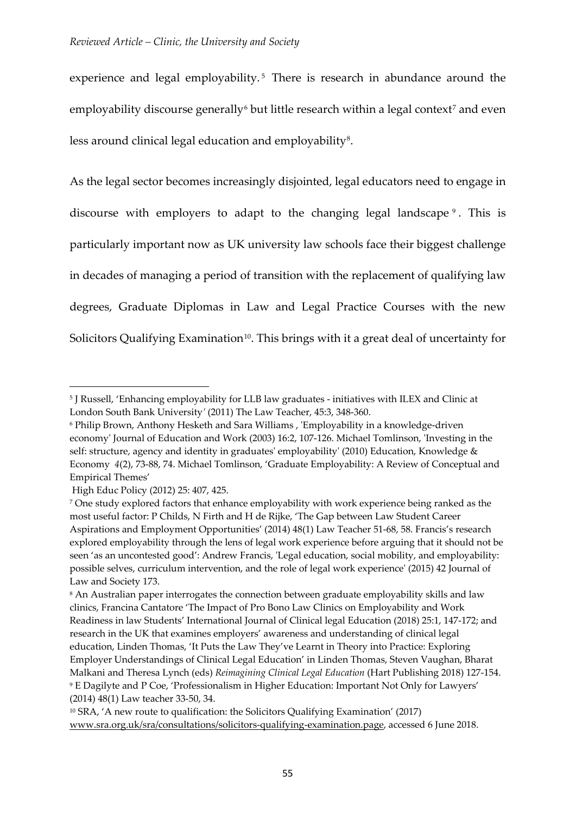experience and legal employability.<sup>[5](#page-2-0)</sup> There is research in abundance around the employability discourse generally<sup>[6](#page-2-1)</sup> but little research within a legal context<sup>[7](#page-2-2)</sup> and even less around clinical legal education and employability<sup>[8](#page-2-3)</sup>.

As the legal sector becomes increasingly disjointed, legal educators need to engage in discourse with employers to adapt to the changing legal landscape [9](#page-2-4) . This is particularly important now as UK university law schools face their biggest challenge in decades of managing a period of transition with the replacement of qualifying law degrees, Graduate Diplomas in Law and Legal Practice Courses with the new Solicitors Qualifying Examination<sup>[10](#page-2-5)</sup>. This brings with it a great deal of uncertainty for

<span id="page-2-0"></span><sup>5</sup> J Russell, 'Enhancing employability for LLB law graduates - initiatives with ILEX and Clinic at London South Bank University*'* (2011) The Law Teacher, 45:3, 348-360.

<span id="page-2-1"></span><sup>6</sup> Philip Brown, Anthony Hesketh and Sara Williams , 'Employability in a knowledge-driven economy' Journal of Education and Work (2003) 16:2, 107-126. Michael Tomlinson, 'Investing in the self: structure, agency and identity in graduates' employability' (2010) Education, Knowledge & Economy *4*(2), 73-88, 74. Michael Tomlinson, 'Graduate Employability: A Review of Conceptual and Empirical Themes'

High Educ Policy (2012) 25: 407, 425.

<span id="page-2-2"></span><sup>7</sup> One study explored factors that enhance employability with work experience being ranked as the most useful factor: P Childs, N Firth and H de Rijke, 'The Gap between Law Student Career Aspirations and Employment Opportunities' (2014) 48(1) Law Teacher 51-68, 58. Francis's research explored employability through the lens of legal work experience before arguing that it should not be seen 'as an uncontested good': Andrew Francis, 'Legal education, social mobility, and employability: possible selves, curriculum intervention, and the role of legal work experience' (2015) 42 Journal of Law and Society 173.

<span id="page-2-3"></span><sup>8</sup> An Australian paper interrogates the connection between graduate employability skills and law clinics, Francina Cantatore 'The Impact of Pro Bono Law Clinics on Employability and Work Readiness in law Students' International Journal of Clinical legal Education (2018) 25:1, 147-172; and research in the UK that examines employers' awareness and understanding of clinical legal education, Linden Thomas, 'It Puts the Law They've Learnt in Theory into Practice: Exploring Employer Understandings of Clinical Legal Education' in Linden Thomas, Steven Vaughan, Bharat Malkani and Theresa Lynch (eds) *Reimagining Clinical Legal Education* (Hart Publishing 2018) 127-154. <sup>9</sup> E Dagilyte and P Coe, 'Professionalism in Higher Education: Important Not Only for Lawyers' (2014) 48(1) Law teacher 33-50, 34.

<span id="page-2-5"></span><span id="page-2-4"></span><sup>10</sup> SRA, 'A new route to qualification: the Solicitors Qualifying Examination' (2017) [www.sra.org.uk/sra/consultations/solicitors-qualifying-examination.page,](http://www.sra.org.uk/sra/consultations/solicitors-qualifying-examination.page) accessed 6 June 2018.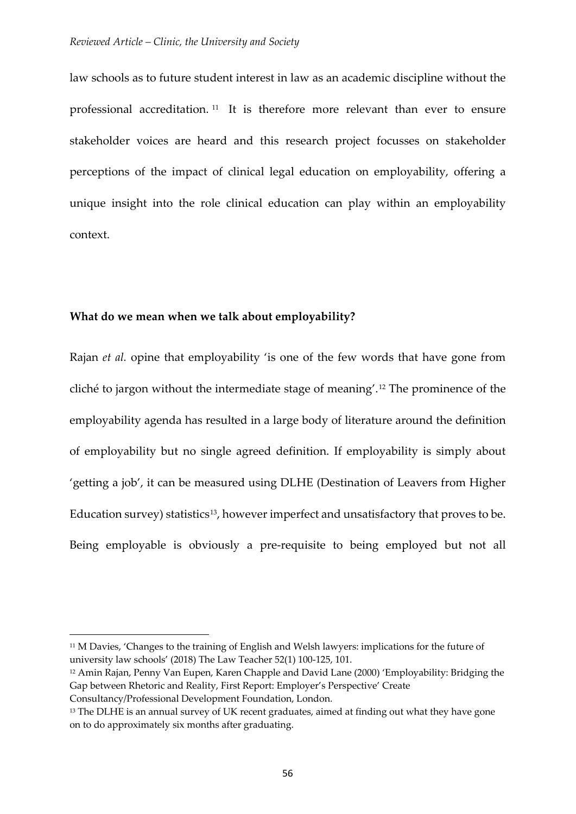law schools as to future student interest in law as an academic discipline without the professional accreditation. [11](#page-3-0) It is therefore more relevant than ever to ensure stakeholder voices are heard and this research project focusses on stakeholder perceptions of the impact of clinical legal education on employability, offering a unique insight into the role clinical education can play within an employability context.

## **What do we mean when we talk about employability?**

-

Rajan *et al.* opine that employability 'is one of the few words that have gone from cliché to jargon without the intermediate stage of meaning'.[12](#page-3-1) The prominence of the employability agenda has resulted in a large body of literature around the definition of employability but no single agreed definition. If employability is simply about 'getting a job', it can be measured using DLHE (Destination of Leavers from Higher Education survey) statistics<sup>[13](#page-3-2)</sup>, however imperfect and unsatisfactory that proves to be. Being employable is obviously a pre-requisite to being employed but not all

<span id="page-3-0"></span><sup>11</sup> M Davies, 'Changes to the training of English and Welsh lawyers: implications for the future of university law schools' (2018) The Law Teacher 52(1) 100-125, 101.

<span id="page-3-1"></span><sup>12</sup> Amin Rajan, Penny Van Eupen, Karen Chapple and David Lane (2000) 'Employability: Bridging the Gap between Rhetoric and Reality, First Report: Employer's Perspective' Create Consultancy/Professional Development Foundation, London.

<span id="page-3-2"></span><sup>&</sup>lt;sup>13</sup> The DLHE is an annual survey of UK recent graduates, aimed at finding out what they have gone on to do approximately six months after graduating.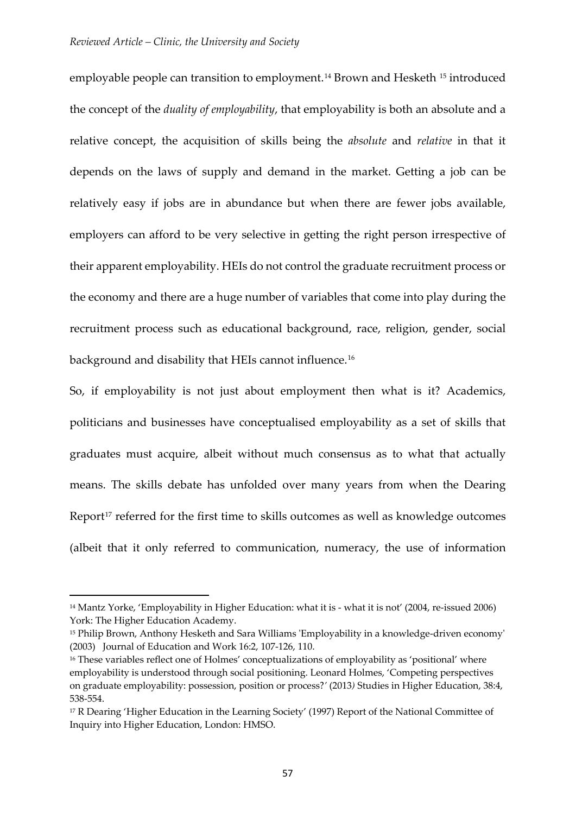employable people can transition to employment.<sup>[14](#page-4-0)</sup> Brown and Hesketh <sup>[15](#page-4-1)</sup> introduced the concept of the *duality of employability*, that employability is both an absolute and a relative concept, the acquisition of skills being the *absolute* and *relative* in that it depends on the laws of supply and demand in the market. Getting a job can be relatively easy if jobs are in abundance but when there are fewer jobs available, employers can afford to be very selective in getting the right person irrespective of their apparent employability. HEIs do not control the graduate recruitment process or the economy and there are a huge number of variables that come into play during the recruitment process such as educational background, race, religion, gender, social background and disability that HEIs cannot influence.<sup>[16](#page-4-2)</sup>

So, if employability is not just about employment then what is it? Academics, politicians and businesses have conceptualised employability as a set of skills that graduates must acquire, albeit without much consensus as to what that actually means. The skills debate has unfolded over many years from when the Dearing Report<sup>[17](#page-4-3)</sup> referred for the first time to skills outcomes as well as knowledge outcomes (albeit that it only referred to communication, numeracy, the use of information

<span id="page-4-0"></span><sup>14</sup> Mantz Yorke, 'Employability in Higher Education: what it is - what it is not' (2004, re-issued 2006) York: The Higher Education Academy.

<span id="page-4-1"></span><sup>15</sup> Philip Brown, Anthony Hesketh and Sara Williams 'Employability in a knowledge-driven economy' (2003) Journal of Education and Work 16:2, 107-126, 110.

<span id="page-4-2"></span><sup>&</sup>lt;sup>16</sup> These variables reflect one of Holmes' conceptualizations of employability as 'positional' where employability is understood through social positioning. Leonard Holmes, 'Competing perspectives on graduate employability: possession, position or process?*'* (2013*)* Studies in Higher Education, 38:4, 538-554.

<span id="page-4-3"></span><sup>&</sup>lt;sup>17</sup> R Dearing 'Higher Education in the Learning Society' (1997) Report of the National Committee of Inquiry into Higher Education, London: HMSO.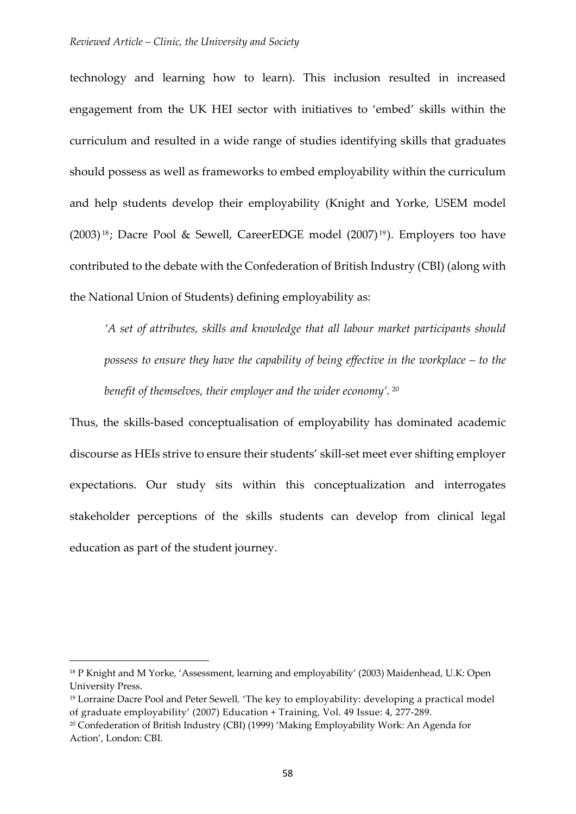technology and learning how to learn). This inclusion resulted in increased engagement from the UK HEI sector with initiatives to 'embed' skills within the curriculum and resulted in a wide range of studies identifying skills that graduates should possess as well as frameworks to embed employability within the curriculum and help students develop their employability (Knight and Yorke, USEM model  $(2003)^{18}$  $(2003)^{18}$  $(2003)^{18}$ ; Dacre Pool & Sewell, CareerEDGE model  $(2007)^{19}$  $(2007)^{19}$  $(2007)^{19}$ ). Employers too have contributed to the debate with the Confederation of British Industry (CBI) (along with the National Union of Students) defining employability as:

*'A set of attributes, skills and knowledge that all labour market participants should possess to ensure they have the capability of being effective in the workplace – to the benefit of themselves, their employer and the wider economy'.* [20](#page-5-2)

Thus, the skills-based conceptualisation of employability has dominated academic discourse as HEIs strive to ensure their students' skill-set meet ever shifting employer expectations. Our study sits within this conceptualization and interrogates stakeholder perceptions of the skills students can develop from clinical legal education as part of the student journey.

<span id="page-5-0"></span><sup>&</sup>lt;sup>18</sup> P Knight and M Yorke, 'Assessment, learning and employability' (2003) Maidenhead, U.K: Open University Press.

<span id="page-5-1"></span><sup>19</sup> Lorraine Dacre Pool and Peter Sewell, 'The key to employability: developing a practical model of graduate employability' (2007) Education + Training, Vol. 49 Issue: 4, 277-289.

<span id="page-5-2"></span><sup>20</sup> Confederation of British Industry (CBI) (1999) 'Making Employability Work: An Agenda for Action', London: CBI.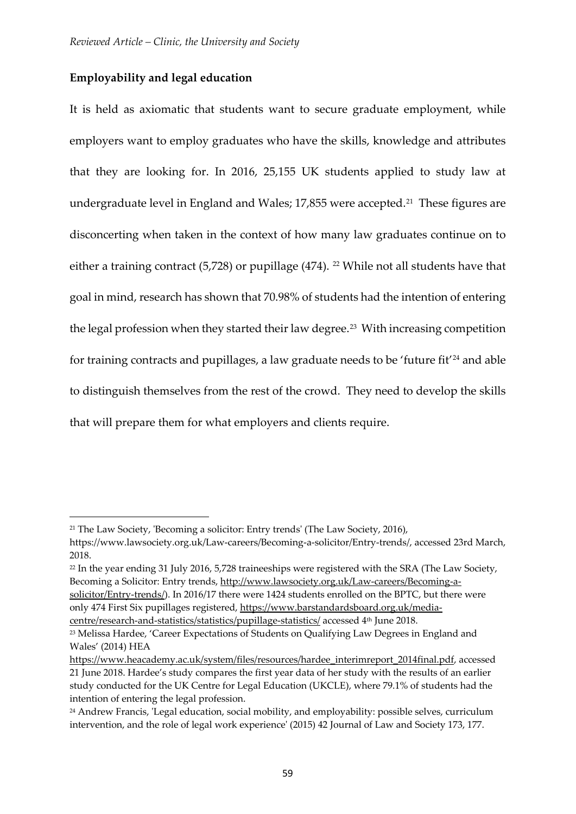# **Employability and legal education**

It is held as axiomatic that students want to secure graduate employment, while employers want to employ graduates who have the skills, knowledge and attributes that they are looking for. In 2016, 25,155 UK students applied to study law at undergraduate level in England and Wales;  $17,855$  were accepted.<sup>[21](#page-6-0)</sup> These figures are disconcerting when taken in the context of how many law graduates continue on to either a training contract (5,728) or pupillage (474). <sup>[22](#page-6-1)</sup> While not all students have that goal in mind, research has shown that 70.98% of students had the intention of entering the legal profession when they started their law degree.<sup>23</sup> With increasing competition for training contracts and pupillages, a law graduate needs to be 'future fit'<sup>[24](#page-6-3)</sup> and able to distinguish themselves from the rest of the crowd. They need to develop the skills that will prepare them for what employers and clients require.

<span id="page-6-0"></span><sup>21</sup> The Law Society, 'Becoming a solicitor: Entry trends' (The Law Society, 2016),

https://www.lawsociety.org.uk/Law-careers/Becoming-a-solicitor/Entry-trends/, accessed 23rd March, 2018.

<span id="page-6-1"></span><sup>&</sup>lt;sup>22</sup> In the year ending 31 July 2016, 5,728 traineeships were registered with the SRA (The Law Society, Becoming a Solicitor: Entry trends, [http://www.lawsociety.org.uk/Law-careers/Becoming-a](http://www.lawsociety.org.uk/Law-careers/Becoming-a-solicitor/Entry-trends/)[solicitor/Entry-trends/\)](http://www.lawsociety.org.uk/Law-careers/Becoming-a-solicitor/Entry-trends/). In 2016/17 there were 1424 students enrolled on the BPTC, but there were only 474 First Six pupillages registered, [https://www.barstandardsboard.org.uk/media-](https://www.barstandardsboard.org.uk/media-centre/research-and-statistics/statistics/pupillage-statistics/)

[centre/research-and-statistics/statistics/pupillage-statistics/](https://www.barstandardsboard.org.uk/media-centre/research-and-statistics/statistics/pupillage-statistics/) accessed 4th June 2018.

<span id="page-6-2"></span><sup>23</sup> Melissa Hardee, 'Career Expectations of Students on Qualifying Law Degrees in England and Wales' (2014) HEA

[https://www.heacademy.ac.uk/system/files/resources/hardee\\_interimreport\\_2014final.pdf,](https://www.heacademy.ac.uk/system/files/resources/hardee_interimreport_2014final.pdf) accessed 21 June 2018. Hardee's study compares the first year data of her study with the results of an earlier study conducted for the UK Centre for Legal Education (UKCLE), where 79.1% of students had the intention of entering the legal profession.

<span id="page-6-3"></span><sup>24</sup> Andrew Francis, 'Legal education, social mobility, and employability: possible selves, curriculum intervention, and the role of legal work experience' (2015) 42 Journal of Law and Society 173, 177.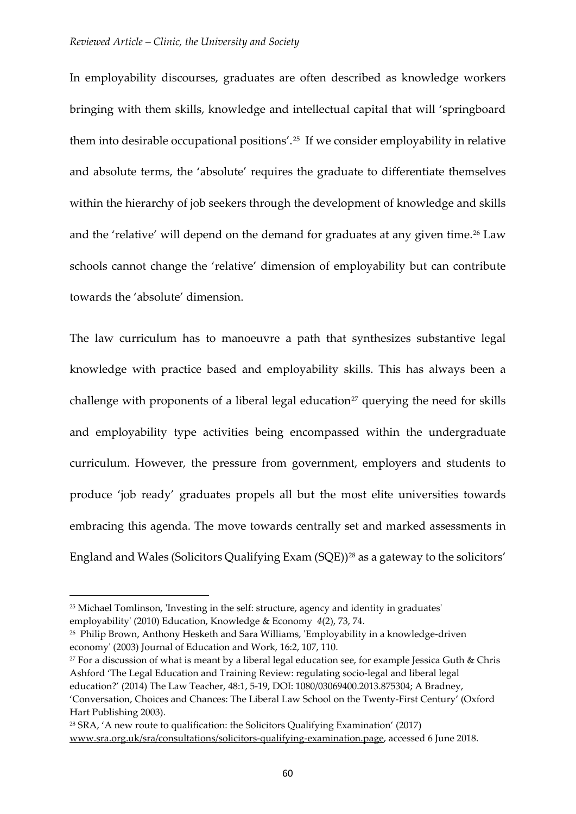In employability discourses, graduates are often described as knowledge workers bringing with them skills, knowledge and intellectual capital that will 'springboard them into desirable occupational positions'.[25](#page-7-0) If we consider employability in relative and absolute terms, the 'absolute' requires the graduate to differentiate themselves within the hierarchy of job seekers through the development of knowledge and skills and the 'relative' will depend on the demand for graduates at any given time.<sup>[26](#page-7-1)</sup> Law schools cannot change the 'relative' dimension of employability but can contribute towards the 'absolute' dimension.

The law curriculum has to manoeuvre a path that synthesizes substantive legal knowledge with practice based and employability skills. This has always been a challenge with proponents of a liberal legal education<sup>[27](#page-7-2)</sup> querying the need for skills and employability type activities being encompassed within the undergraduate curriculum. However, the pressure from government, employers and students to produce 'job ready' graduates propels all but the most elite universities towards embracing this agenda. The move towards centrally set and marked assessments in England and Wales (Solicitors Qualifying Exam (SQE))[28](#page-7-3) as a gateway to the solicitors'

<span id="page-7-0"></span><sup>25</sup> Michael Tomlinson, 'Investing in the self: structure, agency and identity in graduates' employability' (2010) Education, Knowledge & Economy *4*(2), 73, 74.

<span id="page-7-1"></span><sup>26</sup> Philip Brown, Anthony Hesketh and Sara Williams, 'Employability in a knowledge-driven economy' (2003) Journal of Education and Work, 16:2, 107, 110.

<span id="page-7-2"></span> $27$  For a discussion of what is meant by a liberal legal education see, for example Jessica Guth & Chris Ashford 'The Legal Education and Training Review: regulating socio-legal and liberal legal education?' (2014) The Law Teacher, 48:1, 5-19, DOI: 1080/03069400.2013.875304; A Bradney, 'Conversation, Choices and Chances: The Liberal Law School on the Twenty-First Century' (Oxford

Hart Publishing 2003).

<span id="page-7-3"></span><sup>28</sup> SRA, 'A new route to qualification: the Solicitors Qualifying Examination' (2017) [www.sra.org.uk/sra/consultations/solicitors-qualifying-examination.page,](http://www.sra.org.uk/sra/consultations/solicitors-qualifying-examination.page) accessed 6 June 2018.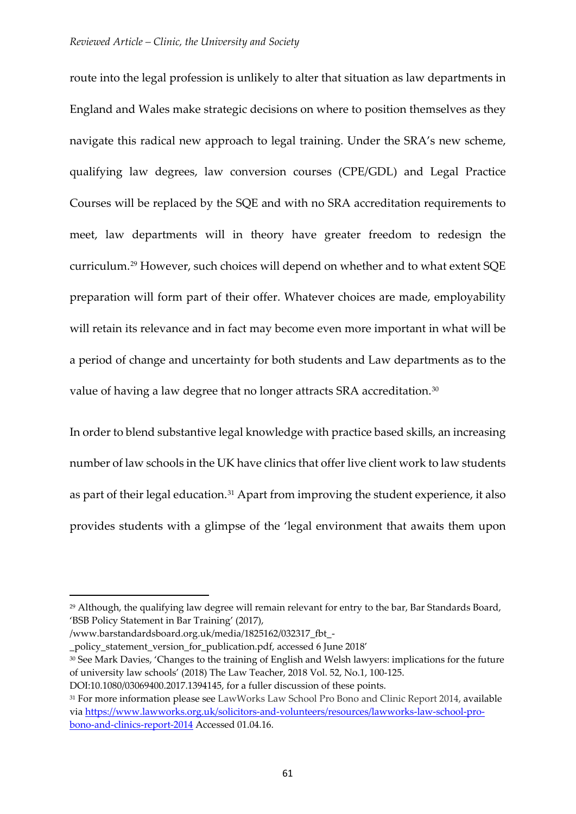route into the legal profession is unlikely to alter that situation as law departments in England and Wales make strategic decisions on where to position themselves as they navigate this radical new approach to legal training. Under the SRA's new scheme, qualifying law degrees, law conversion courses (CPE/GDL) and Legal Practice Courses will be replaced by the SQE and with no SRA accreditation requirements to meet, law departments will in theory have greater freedom to redesign the curriculum.[29](#page-8-0) However, such choices will depend on whether and to what extent SQE preparation will form part of their offer. Whatever choices are made, employability will retain its relevance and in fact may become even more important in what will be a period of change and uncertainty for both students and Law departments as to the value of having a law degree that no longer attracts SRA accreditation.<sup>[30](#page-8-1)</sup>

In order to blend substantive legal knowledge with practice based skills, an increasing number of law schools in the UK have clinics that offer live client work to law students as part of their legal education.<sup>[31](#page-8-2)</sup> Apart from improving the student experience, it also provides students with a glimpse of the 'legal environment that awaits them upon

<span id="page-8-0"></span><sup>29</sup> Although, the qualifying law degree will remain relevant for entry to the bar, Bar Standards Board, 'BSB Policy Statement in Bar Training' (2017),

<sup>/</sup>www.barstandardsboard.org.uk/media/1825162/032317\_fbt\_-

\_policy\_statement\_version\_for\_publication.pdf, accessed 6 June 2018'

<span id="page-8-1"></span><sup>30</sup> See Mark Davies, 'Changes to the training of English and Welsh lawyers: implications for the future of university law schools' (2018) The Law Teacher, 2018 Vol. 52, No.1, 100-125.

DOI:10.1080/03069400.2017.1394145, for a fuller discussion of these points.

<span id="page-8-2"></span><sup>31</sup> For more information please see LawWorks Law School Pro Bono and Clinic Report 2014, available via [https://www.lawworks.org.uk/solicitors-and-volunteers/resources/lawworks-law-school-pro](https://www.lawworks.org.uk/solicitors-and-volunteers/resources/lawworks-law-school-pro-bono-and-clinics-report-2014)[bono-and-clinics-report-2014](https://www.lawworks.org.uk/solicitors-and-volunteers/resources/lawworks-law-school-pro-bono-and-clinics-report-2014) Accessed 01.04.16.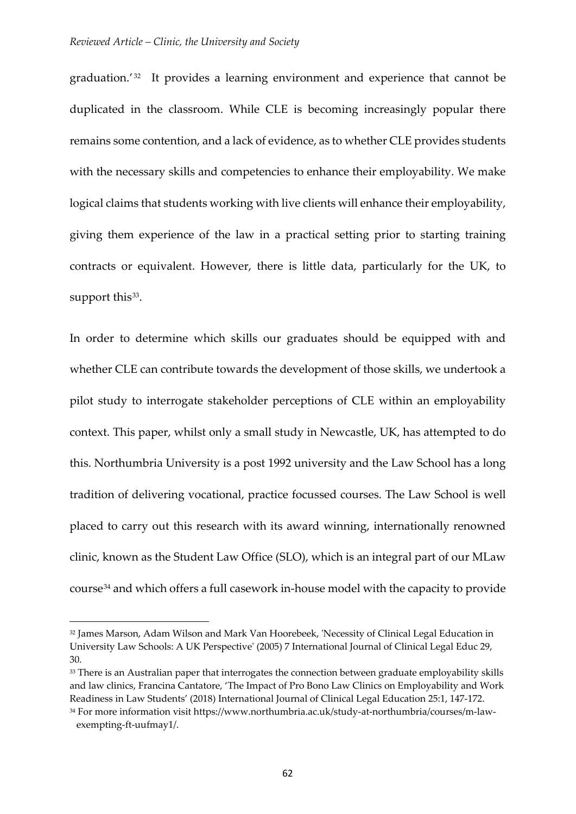graduation.<sup>'[32](#page-9-0)</sup> It provides a learning environment and experience that cannot be duplicated in the classroom. While CLE is becoming increasingly popular there remains some contention, and a lack of evidence, as to whether CLE provides students with the necessary skills and competencies to enhance their employability. We make logical claims that students working with live clients will enhance their employability, giving them experience of the law in a practical setting prior to starting training contracts or equivalent. However, there is little data, particularly for the UK, to support this<sup>[33](#page-9-1)</sup>.

In order to determine which skills our graduates should be equipped with and whether CLE can contribute towards the development of those skills, we undertook a pilot study to interrogate stakeholder perceptions of CLE within an employability context. This paper, whilst only a small study in Newcastle, UK, has attempted to do this. Northumbria University is a post 1992 university and the Law School has a long tradition of delivering vocational, practice focussed courses. The Law School is well placed to carry out this research with its award winning, internationally renowned clinic, known as the Student Law Office (SLO), which is an integral part of our MLaw course[34](#page-9-2) and which offers a full casework in-house model with the capacity to provide

<span id="page-9-0"></span><sup>32</sup> James Marson, Adam Wilson and Mark Van Hoorebeek, 'Necessity of Clinical Legal Education in University Law Schools: A UK Perspective' (2005) 7 International Journal of Clinical Legal Educ 29, 30.

<span id="page-9-1"></span><sup>&</sup>lt;sup>33</sup> There is an Australian paper that interrogates the connection between graduate employability skills and law clinics, Francina Cantatore, 'The Impact of Pro Bono Law Clinics on Employability and Work Readiness in Law Students' (2018) International Journal of Clinical Legal Education 25:1, 147-172.

<span id="page-9-2"></span><sup>34</sup> For more information visit https://www.northumbria.ac.uk/study-at-northumbria/courses/m-lawexempting-ft-uufmay1/.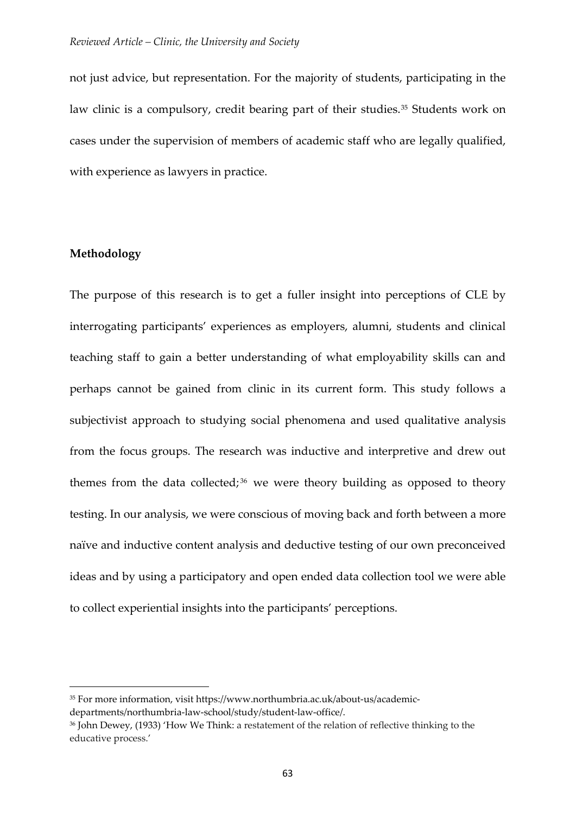not just advice, but representation. For the majority of students, participating in the law clinic is a compulsory, credit bearing part of their studies.<sup>[35](#page-10-0)</sup> Students work on cases under the supervision of members of academic staff who are legally qualified, with experience as lawyers in practice.

# **Methodology**

-

The purpose of this research is to get a fuller insight into perceptions of CLE by interrogating participants' experiences as employers, alumni, students and clinical teaching staff to gain a better understanding of what employability skills can and perhaps cannot be gained from clinic in its current form. This study follows a subjectivist approach to studying social phenomena and used qualitative analysis from the focus groups. The research was inductive and interpretive and drew out themes from the data collected;  $36$  we were theory building as opposed to theory testing. In our analysis, we were conscious of moving back and forth between a more naïve and inductive content analysis and deductive testing of our own preconceived ideas and by using a participatory and open ended data collection tool we were able to collect experiential insights into the participants' perceptions.

<span id="page-10-0"></span><sup>35</sup> For more information, visit https://www.northumbria.ac.uk/about-us/academic-

departments/northumbria-law-school/study/student-law-office/.

<span id="page-10-1"></span><sup>36</sup> John Dewey, (1933) 'How We Think: a restatement of the relation of reflective thinking to the educative process.'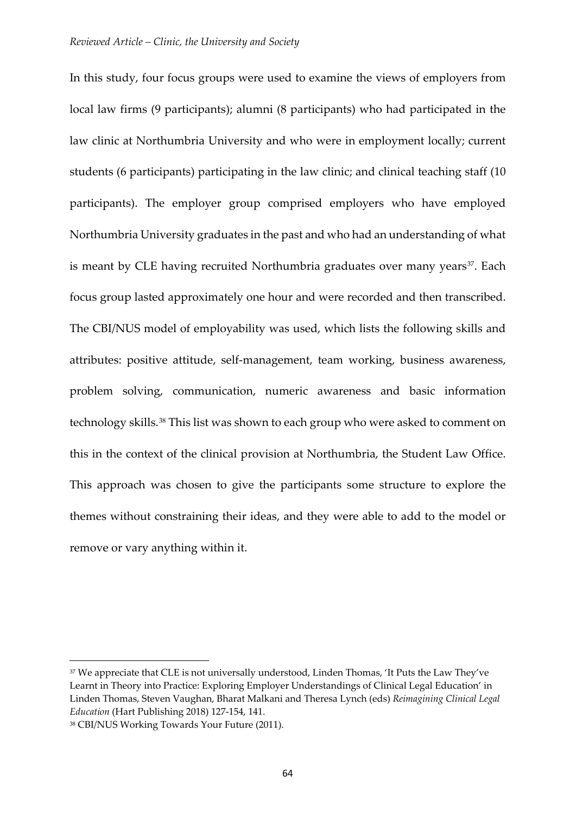In this study, four focus groups were used to examine the views of employers from local law firms (9 participants); alumni (8 participants) who had participated in the law clinic at Northumbria University and who were in employment locally; current students (6 participants) participating in the law clinic; and clinical teaching staff (10 participants). The employer group comprised employers who have employed Northumbria University graduates in the past and who had an understanding of what is meant by CLE having recruited Northumbria graduates over many years<sup>[37](#page-11-0)</sup>. Each focus group lasted approximately one hour and were recorded and then transcribed. The CBI/NUS model of employability was used, which lists the following skills and attributes: positive attitude, self-management, team working, business awareness, problem solving, communication, numeric awareness and basic information technology skills.[38](#page-11-1) This list was shown to each group who were asked to comment on this in the context of the clinical provision at Northumbria, the Student Law Office. This approach was chosen to give the participants some structure to explore the themes without constraining their ideas, and they were able to add to the model or remove or vary anything within it.

<span id="page-11-0"></span><sup>&</sup>lt;sup>37</sup> We appreciate that CLE is not universally understood, Linden Thomas, 'It Puts the Law They've Learnt in Theory into Practice: Exploring Employer Understandings of Clinical Legal Education' in Linden Thomas, Steven Vaughan, Bharat Malkani and Theresa Lynch (eds) *Reimagining Clinical Legal Education* (Hart Publishing 2018) 127-154, 141.

<span id="page-11-1"></span><sup>38</sup> CBI/NUS Working Towards Your Future (2011).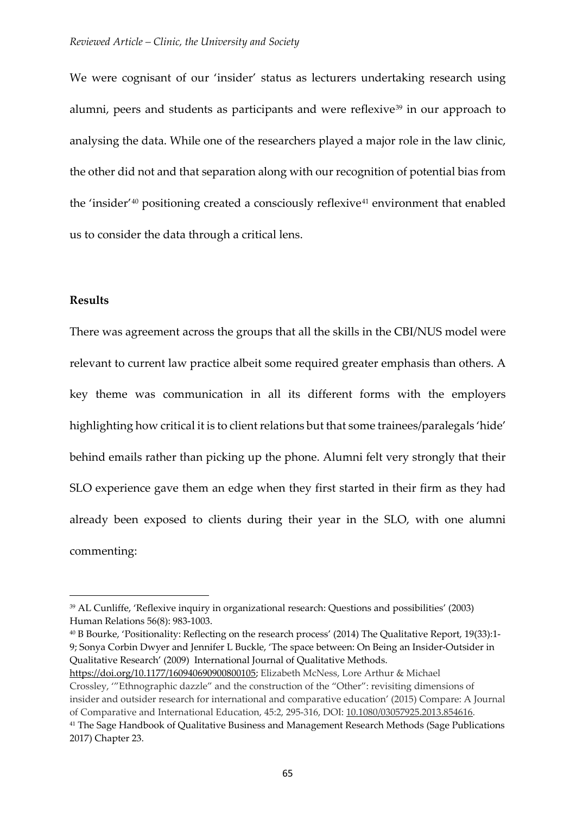We were cognisant of our 'insider' status as lecturers undertaking research using alumni, peers and students as participants and were reflexive<sup>[39](#page-12-0)</sup> in our approach to analysing the data. While one of the researchers played a major role in the law clinic, the other did not and that separation along with our recognition of potential bias from the 'insider' $40$  positioning created a consciously reflexive $41$  environment that enabled us to consider the data through a critical lens.

## **Results**

-

There was agreement across the groups that all the skills in the CBI/NUS model were relevant to current law practice albeit some required greater emphasis than others. A key theme was communication in all its different forms with the employers highlighting how critical it is to client relations but that some trainees/paralegals 'hide' behind emails rather than picking up the phone. Alumni felt very strongly that their SLO experience gave them an edge when they first started in their firm as they had already been exposed to clients during their year in the SLO, with one alumni commenting:

<span id="page-12-1"></span><sup>40</sup> B Bourke, 'Positionality: Reflecting on the research process' (2014) The Qualitative Report, 19(33):1- 9; Sonya Corbin Dwyer and Jennifer L Buckle, 'The space between: On Being an Insider-Outsider in Qualitative Research' (2009) International Journal of Qualitative Methods.

<span id="page-12-0"></span><sup>39</sup> AL Cunliffe, 'Reflexive inquiry in organizational research: Questions and possibilities' (2003) Human Relations 56(8): 983-1003.

<span id="page-12-2"></span>[https://doi.org/10.1177/160940690900800105;](https://doi.org/10.1177%2F160940690900800105) Elizabeth McNess, Lore Arthur & Michael Crossley, '"Ethnographic dazzle" and the construction of the "Other": revisiting dimensions of insider and outsider research for international and comparative education' (2015) Compare: A Journal of Comparative and International Education, 45:2, 295-316, DOI: [10.1080/03057925.2013.854616.](https://doi.org/10.1080/03057925.2013.854616) <sup>41</sup> The Sage Handbook of Qualitative Business and Management Research Methods (Sage Publications 2017) Chapter 23.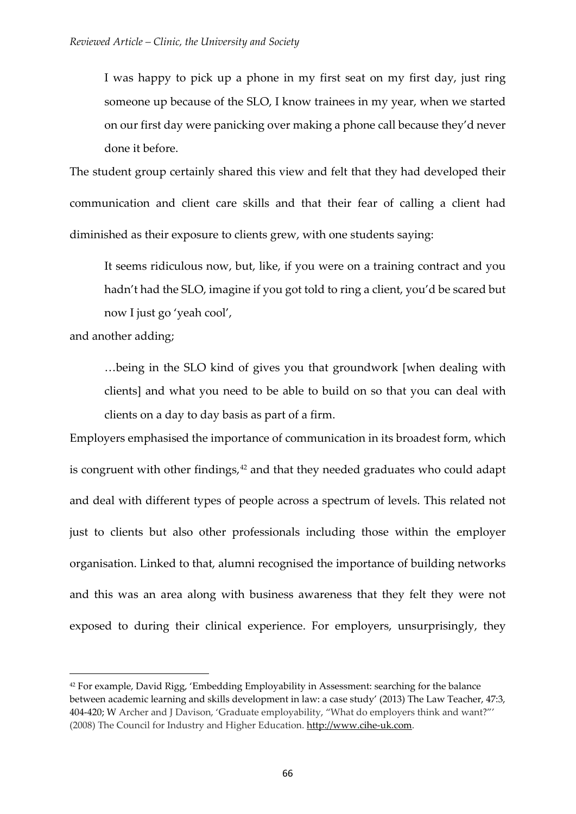I was happy to pick up a phone in my first seat on my first day, just ring someone up because of the SLO, I know trainees in my year, when we started on our first day were panicking over making a phone call because they'd never done it before.

The student group certainly shared this view and felt that they had developed their communication and client care skills and that their fear of calling a client had diminished as their exposure to clients grew, with one students saying:

It seems ridiculous now, but, like, if you were on a training contract and you hadn't had the SLO, imagine if you got told to ring a client, you'd be scared but now I just go 'yeah cool',

and another adding;

-

…being in the SLO kind of gives you that groundwork [when dealing with clients] and what you need to be able to build on so that you can deal with clients on a day to day basis as part of a firm.

Employers emphasised the importance of communication in its broadest form, which is congruent with other findings, $42$  and that they needed graduates who could adapt and deal with different types of people across a spectrum of levels. This related not just to clients but also other professionals including those within the employer organisation. Linked to that, alumni recognised the importance of building networks and this was an area along with business awareness that they felt they were not exposed to during their clinical experience. For employers, unsurprisingly, they

<span id="page-13-0"></span><sup>42</sup> For example, David Rigg, 'Embedding Employability in Assessment: searching for the balance between academic learning and skills development in law: a case study' (2013) The Law Teacher, 47:3, 404-420; W Archer and J Davison, 'Graduate employability, "What do employers think and want?"' (2008) The Council for Industry and Higher Education. [http://www.cihe-uk.com.](http://www.cihe-uk.com/)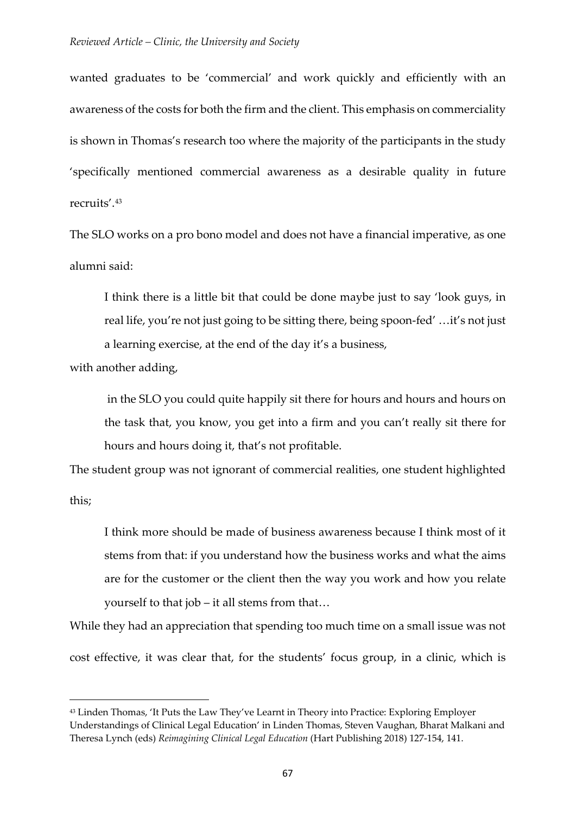wanted graduates to be 'commercial' and work quickly and efficiently with an awareness of the costs for both the firm and the client. This emphasis on commerciality is shown in Thomas's research too where the majority of the participants in the study 'specifically mentioned commercial awareness as a desirable quality in future recruits'.[43](#page-14-0)

The SLO works on a pro bono model and does not have a financial imperative, as one alumni said:

I think there is a little bit that could be done maybe just to say 'look guys, in real life, you're not just going to be sitting there, being spoon-fed' …it's not just a learning exercise, at the end of the day it's a business,

with another adding,

-

in the SLO you could quite happily sit there for hours and hours and hours on the task that, you know, you get into a firm and you can't really sit there for hours and hours doing it, that's not profitable.

The student group was not ignorant of commercial realities, one student highlighted this;

I think more should be made of business awareness because I think most of it stems from that: if you understand how the business works and what the aims are for the customer or the client then the way you work and how you relate yourself to that job – it all stems from that…

While they had an appreciation that spending too much time on a small issue was not cost effective, it was clear that, for the students' focus group, in a clinic, which is

<span id="page-14-0"></span><sup>43</sup> Linden Thomas, 'It Puts the Law They've Learnt in Theory into Practice: Exploring Employer Understandings of Clinical Legal Education' in Linden Thomas, Steven Vaughan, Bharat Malkani and Theresa Lynch (eds) *Reimagining Clinical Legal Education* (Hart Publishing 2018) 127-154, 141.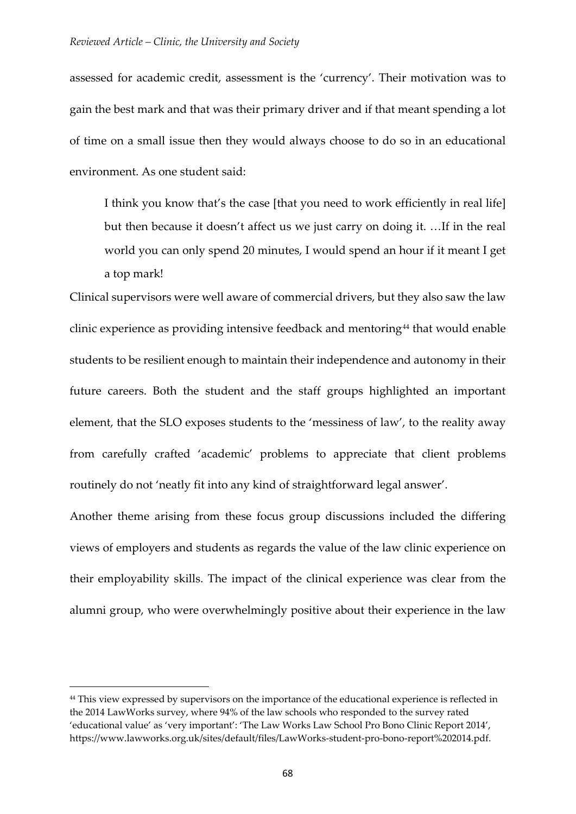assessed for academic credit, assessment is the 'currency'. Their motivation was to gain the best mark and that was their primary driver and if that meant spending a lot of time on a small issue then they would always choose to do so in an educational environment. As one student said:

I think you know that's the case [that you need to work efficiently in real life] but then because it doesn't affect us we just carry on doing it. …If in the real world you can only spend 20 minutes, I would spend an hour if it meant I get a top mark!

Clinical supervisors were well aware of commercial drivers, but they also saw the law clinic experience as providing intensive feedback and mentoring<sup>[44](#page-15-0)</sup> that would enable students to be resilient enough to maintain their independence and autonomy in their future careers. Both the student and the staff groups highlighted an important element, that the SLO exposes students to the 'messiness of law', to the reality away from carefully crafted 'academic' problems to appreciate that client problems routinely do not 'neatly fit into any kind of straightforward legal answer'.

Another theme arising from these focus group discussions included the differing views of employers and students as regards the value of the law clinic experience on their employability skills. The impact of the clinical experience was clear from the alumni group, who were overwhelmingly positive about their experience in the law

<span id="page-15-0"></span><sup>&</sup>lt;sup>44</sup> This view expressed by supervisors on the importance of the educational experience is reflected in the 2014 LawWorks survey, where 94% of the law schools who responded to the survey rated 'educational value' as 'very important': 'The Law Works Law School Pro Bono Clinic Report 2014', https://www.lawworks.org.uk/sites/default/files/LawWorks-student-pro-bono-report%202014.pdf.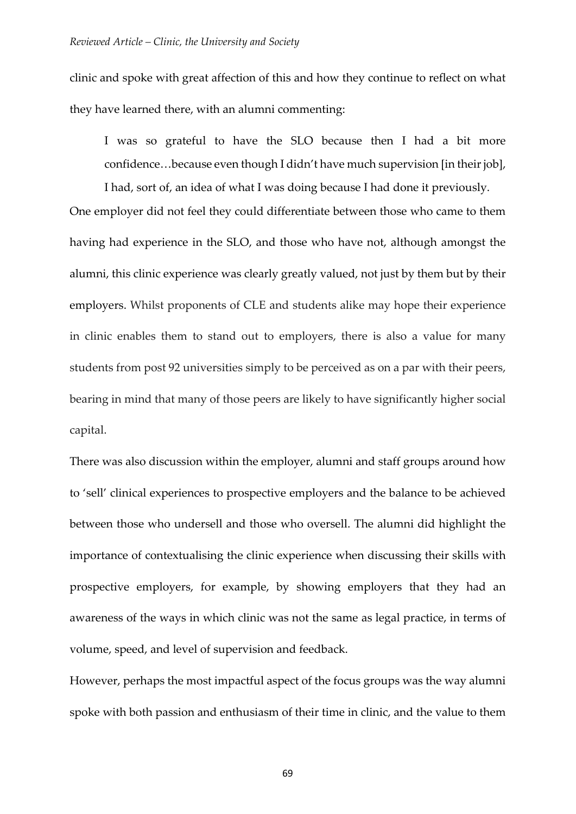clinic and spoke with great affection of this and how they continue to reflect on what they have learned there, with an alumni commenting:

I was so grateful to have the SLO because then I had a bit more confidence...because even though I didn't have much supervision [in their job],

I had, sort of, an idea of what I was doing because I had done it previously.

One employer did not feel they could differentiate between those who came to them having had experience in the SLO, and those who have not, although amongst the alumni, this clinic experience was clearly greatly valued, not just by them but by their employers. Whilst proponents of CLE and students alike may hope their experience in clinic enables them to stand out to employers, there is also a value for many students from post 92 universities simply to be perceived as on a par with their peers, bearing in mind that many of those peers are likely to have significantly higher social capital.

There was also discussion within the employer, alumni and staff groups around how to 'sell' clinical experiences to prospective employers and the balance to be achieved between those who undersell and those who oversell. The alumni did highlight the importance of contextualising the clinic experience when discussing their skills with prospective employers, for example, by showing employers that they had an awareness of the ways in which clinic was not the same as legal practice, in terms of volume, speed, and level of supervision and feedback.

However, perhaps the most impactful aspect of the focus groups was the way alumni spoke with both passion and enthusiasm of their time in clinic, and the value to them

69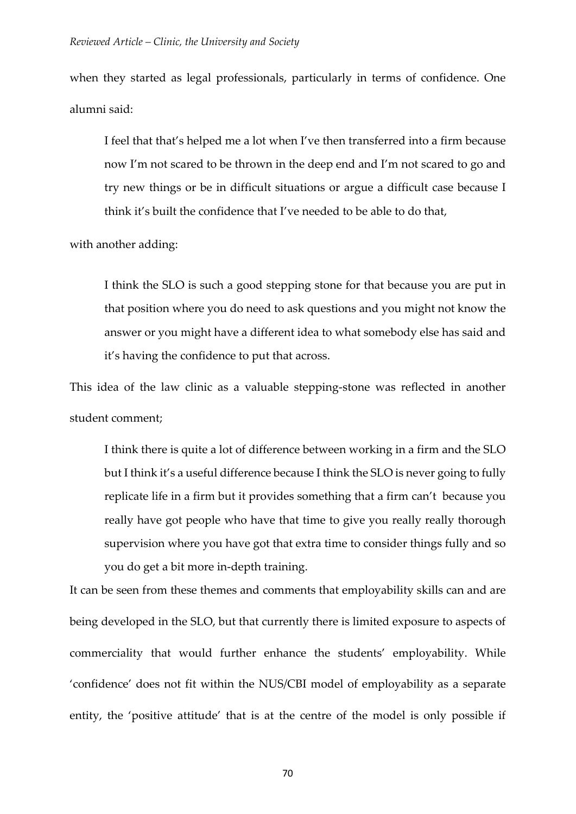when they started as legal professionals, particularly in terms of confidence. One alumni said:

I feel that that's helped me a lot when I've then transferred into a firm because now I'm not scared to be thrown in the deep end and I'm not scared to go and try new things or be in difficult situations or argue a difficult case because I think it's built the confidence that I've needed to be able to do that,

with another adding:

I think the SLO is such a good stepping stone for that because you are put in that position where you do need to ask questions and you might not know the answer or you might have a different idea to what somebody else has said and it's having the confidence to put that across.

This idea of the law clinic as a valuable stepping-stone was reflected in another student comment;

I think there is quite a lot of difference between working in a firm and the SLO but I think it's a useful difference because I think the SLO is never going to fully replicate life in a firm but it provides something that a firm can't because you really have got people who have that time to give you really really thorough supervision where you have got that extra time to consider things fully and so you do get a bit more in-depth training.

It can be seen from these themes and comments that employability skills can and are being developed in the SLO, but that currently there is limited exposure to aspects of commerciality that would further enhance the students' employability. While 'confidence' does not fit within the NUS/CBI model of employability as a separate entity, the 'positive attitude' that is at the centre of the model is only possible if

70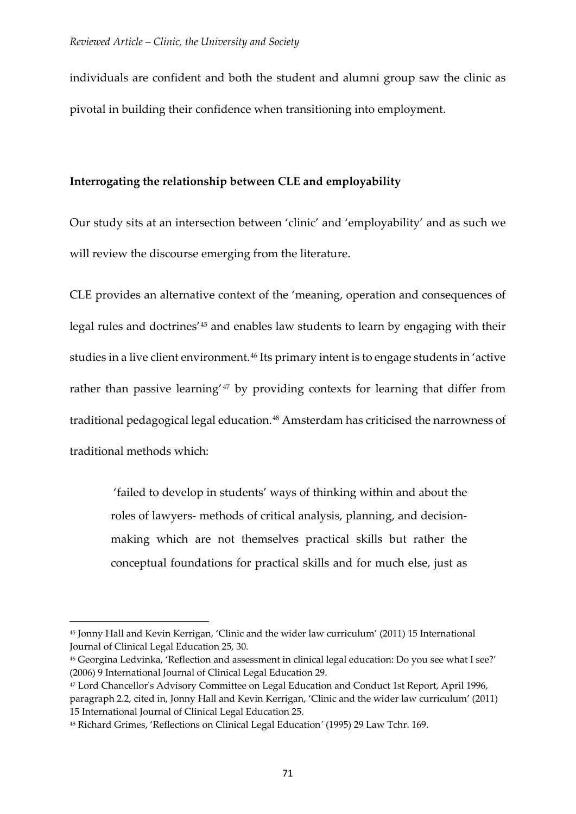individuals are confident and both the student and alumni group saw the clinic as pivotal in building their confidence when transitioning into employment.

# **Interrogating the relationship between CLE and employability**

Our study sits at an intersection between 'clinic' and 'employability' and as such we will review the discourse emerging from the literature.

CLE provides an alternative context of the 'meaning, operation and consequences of legal rules and doctrines'[45](#page-18-0) and enables law students to learn by engaging with their studies in a live client environment.<sup>[46](#page-18-1)</sup> Its primary intent is to engage students in 'active rather than passive learning'<sup>[47](#page-18-2)</sup> by providing contexts for learning that differ from traditional pedagogical legal education.[48](#page-18-3) Amsterdam has criticised the narrowness of traditional methods which:

'failed to develop in students' ways of thinking within and about the roles of lawyers- methods of critical analysis, planning, and decisionmaking which are not themselves practical skills but rather the conceptual foundations for practical skills and for much else, just as

<span id="page-18-0"></span><sup>45</sup> Jonny Hall and Kevin Kerrigan, 'Clinic and the wider law curriculum' (2011) 15 International Journal of Clinical Legal Education 25, 30.

<span id="page-18-1"></span><sup>46</sup> Georgina Ledvinka, 'Reflection and assessment in clinical legal education: Do you see what I see?' (2006) 9 International Journal of Clinical Legal Education 29.

<span id="page-18-2"></span><sup>47</sup> Lord Chancellor's Advisory Committee on Legal Education and Conduct 1st Report, April 1996, paragraph 2.2, cited in, Jonny Hall and Kevin Kerrigan, 'Clinic and the wider law curriculum' (2011) 15 International Journal of Clinical Legal Education 25.

<span id="page-18-3"></span><sup>48</sup> Richard Grimes, 'Reflections on Clinical Legal Education*'* (1995) 29 Law Tchr. 169.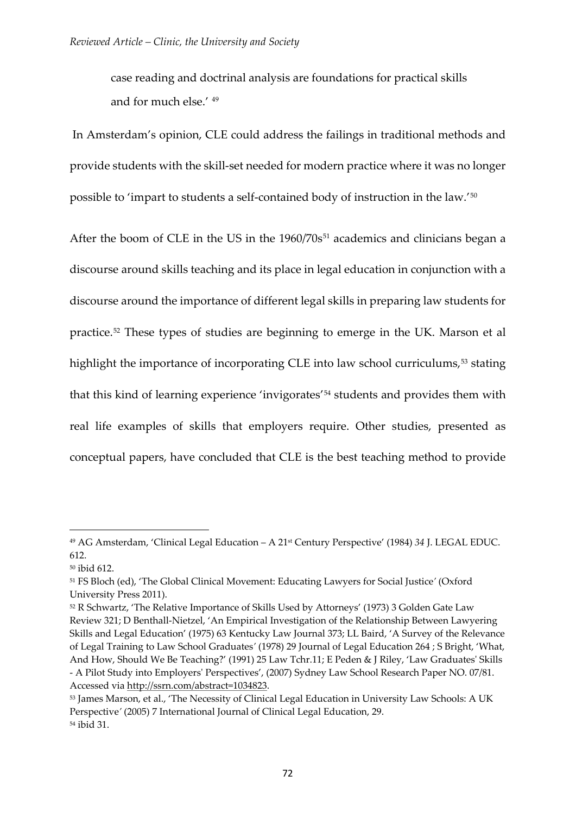case reading and doctrinal analysis are foundations for practical skills and for much else.' [49](#page-19-0)

In Amsterdam's opinion, CLE could address the failings in traditional methods and provide students with the skill-set needed for modern practice where it was no longer possible to 'impart to students a self-contained body of instruction in the law.'[50](#page-19-1)

After the boom of CLE in the US in the  $1960/70s^{51}$  $1960/70s^{51}$  $1960/70s^{51}$  academics and clinicians began a discourse around skills teaching and its place in legal education in conjunction with a discourse around the importance of different legal skills in preparing law students for practice.[52](#page-19-3) These types of studies are beginning to emerge in the UK. Marson et al highlight the importance of incorporating CLE into law school curriculums,<sup>[53](#page-19-4)</sup> stating that this kind of learning experience 'invigorates'[54](#page-19-5) students and provides them with real life examples of skills that employers require. Other studies, presented as conceptual papers, have concluded that CLE is the best teaching method to provide

<span id="page-19-0"></span><sup>49</sup> AG Amsterdam, 'Clinical Legal Education – A 21st Century Perspective' (1984) *34* J. LEGAL EDUC. 612.

<span id="page-19-1"></span><sup>50</sup> ibid 612.

<span id="page-19-2"></span><sup>51</sup> FS Bloch (ed), 'The Global Clinical Movement: Educating Lawyers for Social Justice*'* (Oxford University Press 2011).

<span id="page-19-3"></span><sup>52</sup> R Schwartz, 'The Relative Importance of Skills Used by Attorneys' (1973) 3 Golden Gate Law Review 321; D Benthall-Nietzel, 'An Empirical Investigation of the Relationship Between Lawyering Skills and Legal Education' (1975) 63 Kentucky Law Journal 373; LL Baird, 'A Survey of the Relevance of Legal Training to Law School Graduates*'* (1978) 29 Journal of Legal Education 264 ; S Bright, 'What, And How, Should We Be Teaching?' (1991) 25 Law Tchr.11; E Peden & J Riley, 'Law Graduates' Skills - A Pilot Study into Employers' Perspectives', (2007) Sydney Law School Research Paper NO. 07/81. Accessed via [http://ssrn.com/abstract=1034823.](http://ssrn.com/abstract=1034823)

<span id="page-19-5"></span><span id="page-19-4"></span><sup>53</sup> James Marson, et al., 'The Necessity of Clinical Legal Education in University Law Schools: A UK Perspective*'* (2005) 7 International Journal of Clinical Legal Education, 29. <sup>54</sup> ibid 31.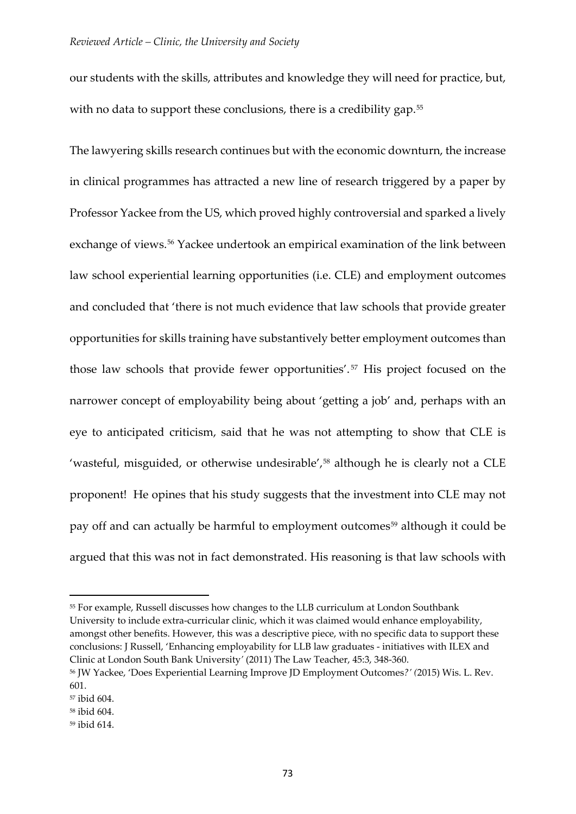our students with the skills, attributes and knowledge they will need for practice, but, with no data to support these conclusions, there is a credibility gap.<sup>[55](#page-20-0)</sup>

The lawyering skills research continues but with the economic downturn, the increase in clinical programmes has attracted a new line of research triggered by a paper by Professor Yackee from the US, which proved highly controversial and sparked a lively exchange of views.<sup>[56](#page-20-1)</sup> Yackee undertook an empirical examination of the link between law school experiential learning opportunities (i.e. CLE) and employment outcomes and concluded that 'there is not much evidence that law schools that provide greater opportunities for skills training have substantively better employment outcomes than those law schools that provide fewer opportunities'. [57](#page-20-2) His project focused on the narrower concept of employability being about 'getting a job' and, perhaps with an eye to anticipated criticism, said that he was not attempting to show that CLE is 'wasteful, misguided, or otherwise undesirable',<sup>[58](#page-20-3)</sup> although he is clearly not a CLE proponent! He opines that his study suggests that the investment into CLE may not pay off and can actually be harmful to employment outcomes<sup>[59](#page-20-4)</sup> although it could be argued that this was not in fact demonstrated. His reasoning is that law schools with

<span id="page-20-0"></span><sup>55</sup> For example, Russell discusses how changes to the LLB curriculum at London Southbank University to include extra-curricular clinic, which it was claimed would enhance employability, amongst other benefits. However, this was a descriptive piece, with no specific data to support these conclusions: J Russell, 'Enhancing employability for LLB law graduates - initiatives with ILEX and Clinic at London South Bank University*'* (2011) The Law Teacher, 45:3, 348-360.

<span id="page-20-1"></span><sup>56</sup> JW Yackee, 'Does Experiential Learning Improve JD Employment Outcomes*?' (*2015) Wis. L. Rev. 601.

<span id="page-20-2"></span><sup>57</sup> ibid 604.

<span id="page-20-3"></span><sup>58</sup> ibid 604.

<span id="page-20-4"></span><sup>59</sup> ibid 614.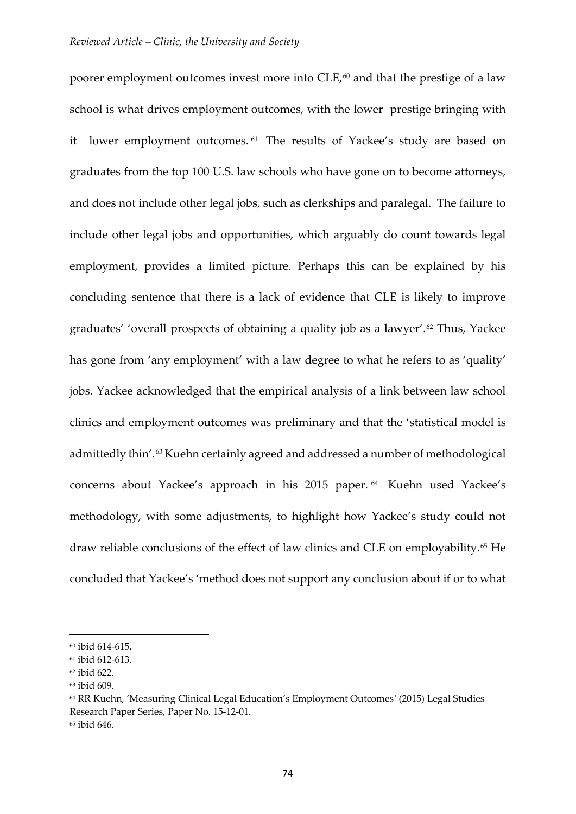poorer employment outcomes invest more into CLE,<sup>[60](#page-21-0)</sup> and that the prestige of a law school is what drives employment outcomes, with the lower prestige bringing with it lower employment outcomes.<sup>[61](#page-21-1)</sup> The results of Yackee's study are based on graduates from the top 100 U.S. law schools who have gone on to become attorneys, and does not include other legal jobs, such as clerkships and paralegal. The failure to include other legal jobs and opportunities, which arguably do count towards legal employment, provides a limited picture. Perhaps this can be explained by his concluding sentence that there is a lack of evidence that CLE is likely to improve graduates' 'overall prospects of obtaining a quality job as a lawyer'.[62](#page-21-2) Thus, Yackee has gone from 'any employment' with a law degree to what he refers to as 'quality' jobs. Yackee acknowledged that the empirical analysis of a link between law school clinics and employment outcomes was preliminary and that the 'statistical model is admittedly thin'.<sup>[63](#page-21-3)</sup> Kuehn certainly agreed and addressed a number of methodological concerns about Yackee's approach in his 2015 paper. [64](#page-21-4) Kuehn used Yackee's methodology, with some adjustments, to highlight how Yackee's study could not draw reliable conclusions of the effect of law clinics and CLE on employability.[65](#page-21-5) He concluded that Yackee's 'method does not support any conclusion about if or to what

<span id="page-21-0"></span><sup>60</sup> ibid 614-615.

<span id="page-21-1"></span><sup>61</sup> ibid 612-613.

<span id="page-21-2"></span><sup>62</sup> ibid 622.

<span id="page-21-3"></span><sup>63</sup> ibid 609.

<span id="page-21-5"></span><span id="page-21-4"></span><sup>64</sup> RR Kuehn, 'Measuring Clinical Legal Education's Employment Outcomes*'* (2015) Legal Studies Research Paper Series, Paper No. 15-12-01. <sup>65</sup> ibid 646.

<sup>74</sup>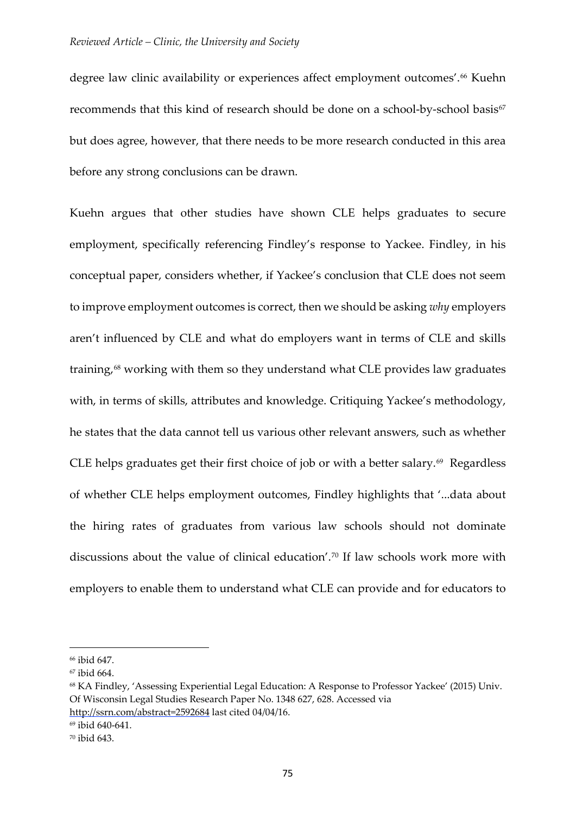degree law clinic availability or experiences affect employment outcomes'. [66](#page-22-0) Kuehn recommends that this kind of research should be done on a school-by-school basis<sup>[67](#page-22-1)</sup> but does agree, however, that there needs to be more research conducted in this area before any strong conclusions can be drawn.

Kuehn argues that other studies have shown CLE helps graduates to secure employment, specifically referencing Findley's response to Yackee. Findley, in his conceptual paper, considers whether, if Yackee's conclusion that CLE does not seem to improve employment outcomes is correct, then we should be asking *why* employers aren't influenced by CLE and what do employers want in terms of CLE and skills training,<sup>[68](#page-22-2)</sup> working with them so they understand what CLE provides law graduates with, in terms of skills, attributes and knowledge. Critiquing Yackee's methodology, he states that the data cannot tell us various other relevant answers, such as whether CLE helps graduates get their first choice of job or with a better salary.<sup>[69](#page-22-3)</sup> Regardless of whether CLE helps employment outcomes, Findley highlights that '...data about the hiring rates of graduates from various law schools should not dominate discussions about the value of clinical education'.[70](#page-22-4) If law schools work more with employers to enable them to understand what CLE can provide and for educators to

<span id="page-22-0"></span><sup>66</sup> ibid 647.

<span id="page-22-1"></span><sup>67</sup> ibid 664.

<span id="page-22-2"></span><sup>68</sup> KA Findley, 'Assessing Experiential Legal Education: A Response to Professor Yackee' (2015) Univ. Of Wisconsin Legal Studies Research Paper No. 1348 627, 628. Accessed via

http://ssrn.com/abstract=2592684 last cited 04/04/16.

<span id="page-22-3"></span><sup>69</sup> ibid 640-641.

<span id="page-22-4"></span><sup>70</sup> ibid 643.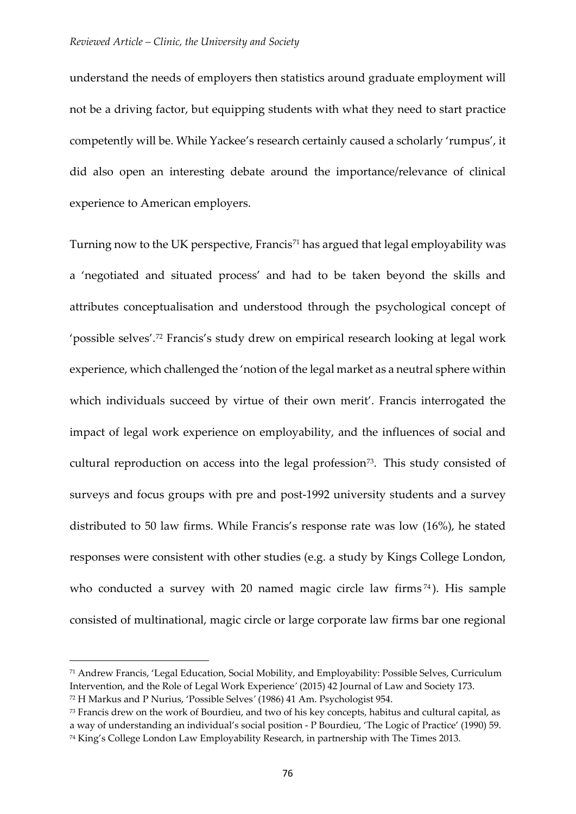understand the needs of employers then statistics around graduate employment will not be a driving factor, but equipping students with what they need to start practice competently will be. While Yackee's research certainly caused a scholarly 'rumpus', it did also open an interesting debate around the importance/relevance of clinical experience to American employers.

Turning now to the UK perspective, Francis<sup>[71](#page-23-0)</sup> has argued that legal employability was a 'negotiated and situated process' and had to be taken beyond the skills and attributes conceptualisation and understood through the psychological concept of 'possible selves'.[72](#page-23-1) Francis's study drew on empirical research looking at legal work experience, which challenged the 'notion of the legal market as a neutral sphere within which individuals succeed by virtue of their own merit'. Francis interrogated the impact of legal work experience on employability, and the influences of social and cultural reproduction on access into the legal profession<sup>73</sup>. This study consisted of surveys and focus groups with pre and post-1992 university students and a survey distributed to 50 law firms. While Francis's response rate was low (16%), he stated responses were consistent with other studies (e.g. a study by Kings College London, who conducted a survey with 20 named magic circle law firms  $74$ ). His sample consisted of multinational, magic circle or large corporate law firms bar one regional

<span id="page-23-0"></span><sup>71</sup> Andrew Francis, 'Legal Education, Social Mobility, and Employability: Possible Selves, Curriculum Intervention, and the Role of Legal Work Experience*'* (2015) 42 Journal of Law and Society 173.

<span id="page-23-1"></span><sup>72</sup> H Markus and P Nurius, 'Possible Selves*'* (1986) 41 Am. Psychologist 954.

<span id="page-23-3"></span><span id="page-23-2"></span><sup>73</sup> Francis drew on the work of Bourdieu, and two of his key concepts, habitus and cultural capital, as a way of understanding an individual's social position - P Bourdieu, 'The Logic of Practice' (1990) 59. <sup>74</sup> King's College London Law Employability Research, in partnership with The Times 2013.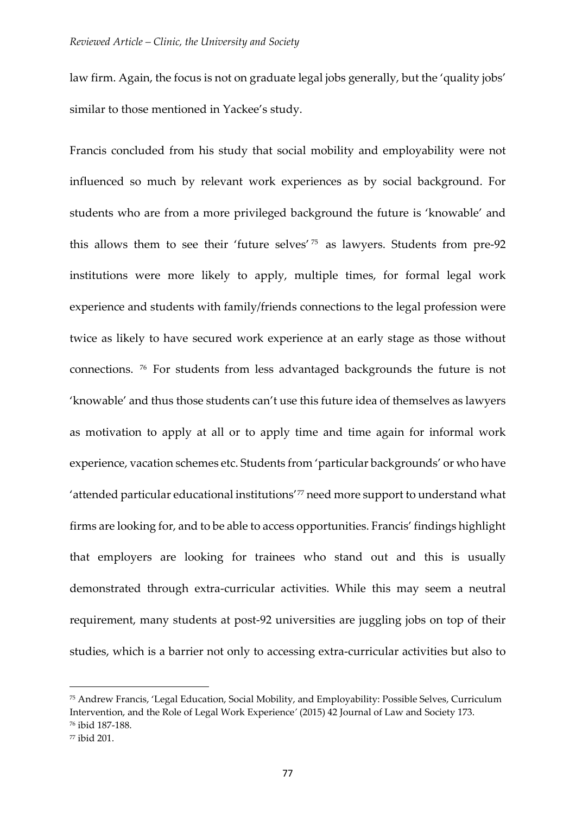law firm. Again, the focus is not on graduate legal jobs generally, but the 'quality jobs' similar to those mentioned in Yackee's study.

Francis concluded from his study that social mobility and employability were not influenced so much by relevant work experiences as by social background. For students who are from a more privileged background the future is 'knowable' and this allows them to see their 'future selves' [75](#page-24-0) as lawyers. Students from pre-92 institutions were more likely to apply, multiple times, for formal legal work experience and students with family/friends connections to the legal profession were twice as likely to have secured work experience at an early stage as those without connections. [76](#page-24-1) For students from less advantaged backgrounds the future is not 'knowable' and thus those students can't use this future idea of themselves as lawyers as motivation to apply at all or to apply time and time again for informal work experience, vacation schemes etc. Students from 'particular backgrounds' or who have 'attended particular educational institutions'[77](#page-24-2) need more support to understand what firms are looking for, and to be able to access opportunities. Francis' findings highlight that employers are looking for trainees who stand out and this is usually demonstrated through extra-curricular activities. While this may seem a neutral requirement, many students at post-92 universities are juggling jobs on top of their studies, which is a barrier not only to accessing extra-curricular activities but also to

<span id="page-24-0"></span><sup>75</sup> Andrew Francis, 'Legal Education, Social Mobility, and Employability: Possible Selves, Curriculum Intervention, and the Role of Legal Work Experience*'* (2015) 42 Journal of Law and Society 173. <sup>76</sup> ibid 187-188.

<span id="page-24-2"></span><span id="page-24-1"></span><sup>77</sup> ibid 201.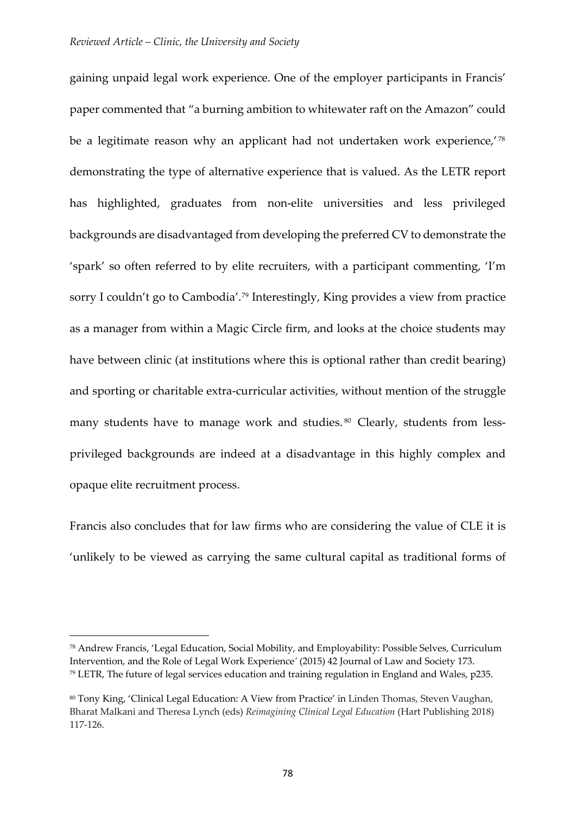gaining unpaid legal work experience. One of the employer participants in Francis' paper commented that "a burning ambition to whitewater raft on the Amazon" could be a legitimate reason why an applicant had not undertaken work experience,<sup>'[78](#page-25-0)</sup> demonstrating the type of alternative experience that is valued. As the LETR report has highlighted, graduates from non-elite universities and less privileged backgrounds are disadvantaged from developing the preferred CV to demonstrate the 'spark' so often referred to by elite recruiters, with a participant commenting, 'I'm sorry I couldn't go to Cambodia'.[79](#page-25-1) Interestingly, King provides a view from practice as a manager from within a Magic Circle firm, and looks at the choice students may have between clinic (at institutions where this is optional rather than credit bearing) and sporting or charitable extra-curricular activities, without mention of the struggle many students have to manage work and studies.<sup>[80](#page-25-2)</sup> Clearly, students from lessprivileged backgrounds are indeed at a disadvantage in this highly complex and opaque elite recruitment process.

Francis also concludes that for law firms who are considering the value of CLE it is 'unlikely to be viewed as carrying the same cultural capital as traditional forms of

<span id="page-25-1"></span><span id="page-25-0"></span><sup>78</sup> Andrew Francis, 'Legal Education, Social Mobility, and Employability: Possible Selves, Curriculum Intervention, and the Role of Legal Work Experience*'* (2015) 42 Journal of Law and Society 173. <sup>79</sup> LETR, The future of legal services education and training regulation in England and Wales, p235.

<span id="page-25-2"></span><sup>80</sup> Tony King, 'Clinical Legal Education: A View from Practice' in Linden Thomas, Steven Vaughan, Bharat Malkani and Theresa Lynch (eds) *Reimagining Clinical Legal Education* (Hart Publishing 2018) 117-126.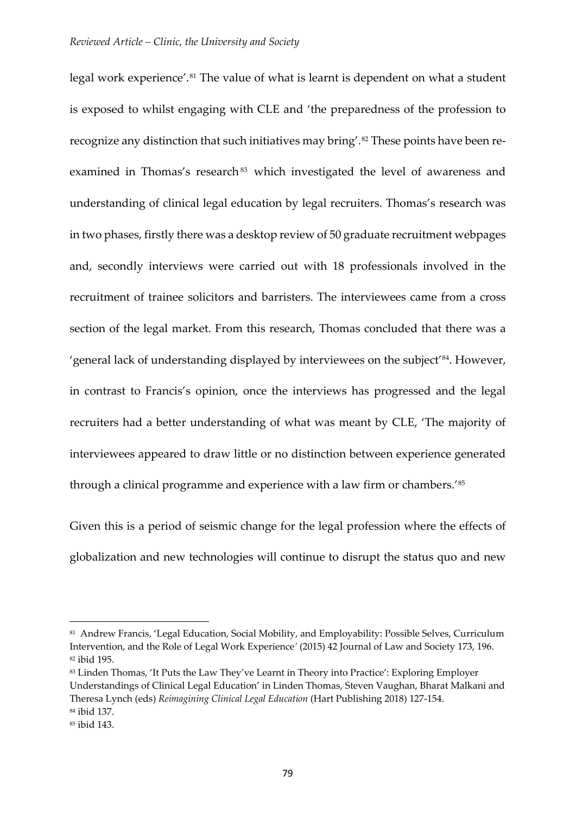legal work experience'.<sup>[81](#page-26-0)</sup> The value of what is learnt is dependent on what a student is exposed to whilst engaging with CLE and 'the preparedness of the profession to recognize any distinction that such initiatives may bring'.<sup>[82](#page-26-1)</sup> These points have been re-examined in Thomas's research<sup>[83](#page-26-2)</sup> which investigated the level of awareness and understanding of clinical legal education by legal recruiters. Thomas's research was in two phases, firstly there was a desktop review of 50 graduate recruitment webpages and, secondly interviews were carried out with 18 professionals involved in the recruitment of trainee solicitors and barristers. The interviewees came from a cross section of the legal market. From this research, Thomas concluded that there was a 'general lack of understanding displayed by interviewees on the subject'[84](#page-26-3). However, in contrast to Francis's opinion, once the interviews has progressed and the legal recruiters had a better understanding of what was meant by CLE, 'The majority of interviewees appeared to draw little or no distinction between experience generated through a clinical programme and experience with a law firm or chambers.'[85](#page-26-4) 

Given this is a period of seismic change for the legal profession where the effects of globalization and new technologies will continue to disrupt the status quo and new

<span id="page-26-0"></span><sup>81</sup> Andrew Francis, 'Legal Education, Social Mobility, and Employability: Possible Selves, Curriculum Intervention, and the Role of Legal Work Experience*'* (2015) 42 Journal of Law and Society 173, 196. <sup>82</sup> ibid 195.

<span id="page-26-2"></span><span id="page-26-1"></span><sup>83</sup> Linden Thomas, 'It Puts the Law They've Learnt in Theory into Practice': Exploring Employer Understandings of Clinical Legal Education' in Linden Thomas, Steven Vaughan, Bharat Malkani and Theresa Lynch (eds) *Reimagining Clinical Legal Education* (Hart Publishing 2018) 127-154. <sup>84</sup> ibid 137.

<span id="page-26-4"></span><span id="page-26-3"></span><sup>85</sup> ibid 143.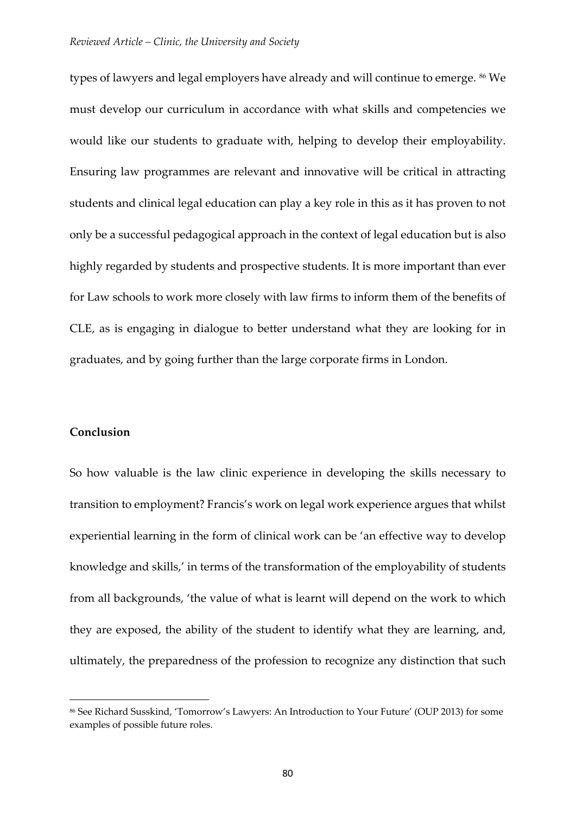types of lawyers and legal employers have already and will continue to emerge. [86](#page-27-0) We must develop our curriculum in accordance with what skills and competencies we would like our students to graduate with, helping to develop their employability. Ensuring law programmes are relevant and innovative will be critical in attracting students and clinical legal education can play a key role in this as it has proven to not only be a successful pedagogical approach in the context of legal education but is also highly regarded by students and prospective students. It is more important than ever for Law schools to work more closely with law firms to inform them of the benefits of CLE, as is engaging in dialogue to better understand what they are looking for in graduates, and by going further than the large corporate firms in London.

## **Conclusion**

<u>.</u>

So how valuable is the law clinic experience in developing the skills necessary to transition to employment? Francis's work on legal work experience argues that whilst experiential learning in the form of clinical work can be 'an effective way to develop knowledge and skills,' in terms of the transformation of the employability of students from all backgrounds, 'the value of what is learnt will depend on the work to which they are exposed, the ability of the student to identify what they are learning, and, ultimately, the preparedness of the profession to recognize any distinction that such

<span id="page-27-0"></span><sup>86</sup> See Richard Susskind, 'Tomorrow's Lawyers: An Introduction to Your Future' (OUP 2013) for some examples of possible future roles.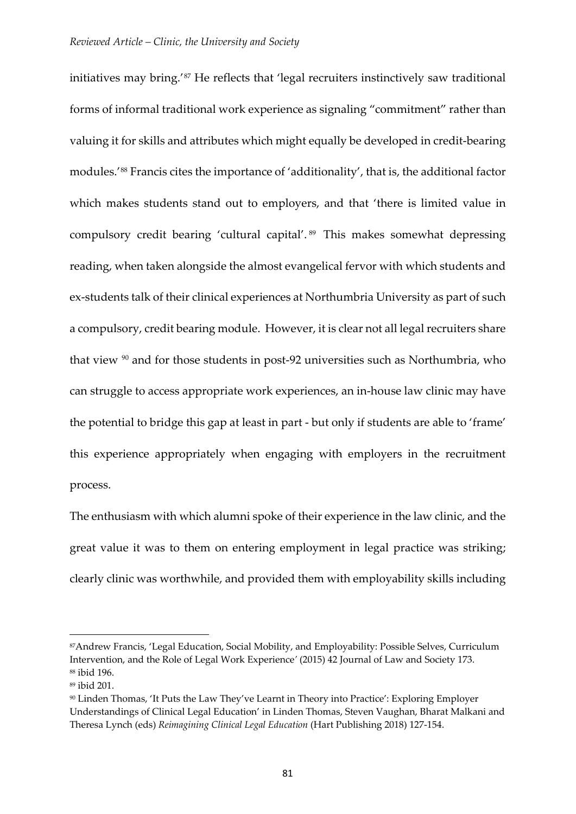initiatives may bring.'[87](#page-28-0) He reflects that 'legal recruiters instinctively saw traditional forms of informal traditional work experience as signaling "commitment" rather than valuing it for skills and attributes which might equally be developed in credit-bearing modules.'[88](#page-28-1) Francis cites the importance of 'additionality', that is, the additional factor which makes students stand out to employers, and that 'there is limited value in compulsory credit bearing 'cultural capital'. [89](#page-28-2) This makes somewhat depressing reading, when taken alongside the almost evangelical fervor with which students and ex-students talk of their clinical experiences at Northumbria University as part of such a compulsory, credit bearing module. However, it is clear not all legal recruiters share that view [90](#page-28-3) and for those students in post-92 universities such as Northumbria, who can struggle to access appropriate work experiences, an in-house law clinic may have the potential to bridge this gap at least in part - but only if students are able to 'frame' this experience appropriately when engaging with employers in the recruitment process.

The enthusiasm with which alumni spoke of their experience in the law clinic, and the great value it was to them on entering employment in legal practice was striking; clearly clinic was worthwhile, and provided them with employability skills including

<span id="page-28-0"></span><sup>87</sup>Andrew Francis, 'Legal Education, Social Mobility, and Employability: Possible Selves, Curriculum Intervention, and the Role of Legal Work Experience*'* (2015) 42 Journal of Law and Society 173. <sup>88</sup> ibid 196.

<span id="page-28-2"></span><span id="page-28-1"></span><sup>89</sup> ibid 201.

<span id="page-28-3"></span><sup>90</sup> Linden Thomas, 'It Puts the Law They've Learnt in Theory into Practice': Exploring Employer Understandings of Clinical Legal Education' in Linden Thomas, Steven Vaughan, Bharat Malkani and Theresa Lynch (eds) *Reimagining Clinical Legal Education* (Hart Publishing 2018) 127-154.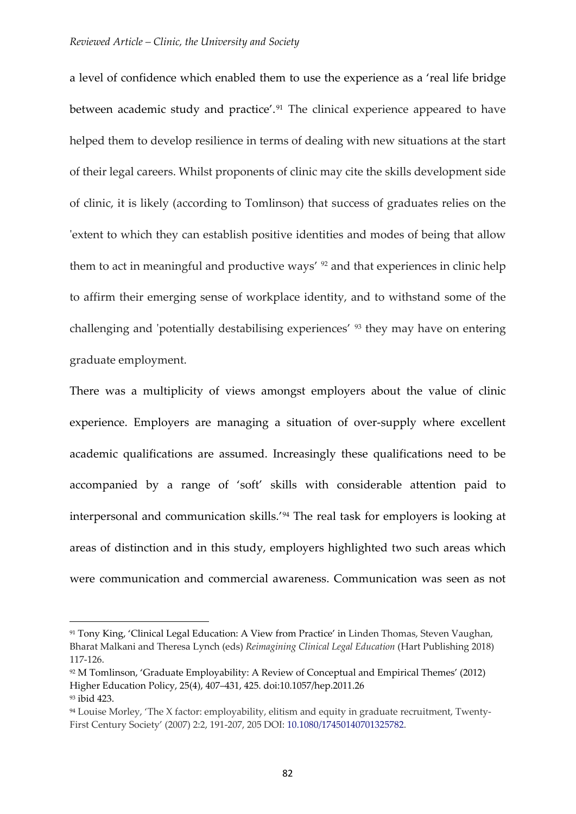a level of confidence which enabled them to use the experience as a 'real life bridge between academic study and practice'.<sup>[91](#page-29-0)</sup> The clinical experience appeared to have helped them to develop resilience in terms of dealing with new situations at the start of their legal careers. Whilst proponents of clinic may cite the skills development side of clinic, it is likely (according to Tomlinson) that success of graduates relies on the 'extent to which they can establish positive identities and modes of being that allow them to act in meaningful and productive ways' <sup>[92](#page-29-1)</sup> and that experiences in clinic help to affirm their emerging sense of workplace identity, and to withstand some of the challenging and 'potentially destabilising experiences' [93](#page-29-2) they may have on entering graduate employment.

There was a multiplicity of views amongst employers about the value of clinic experience. Employers are managing a situation of over-supply where excellent academic qualifications are assumed. Increasingly these qualifications need to be accompanied by a range of 'soft' skills with considerable attention paid to interpersonal and communication skills.'[94](#page-29-3) The real task for employers is looking at areas of distinction and in this study, employers highlighted two such areas which were communication and commercial awareness. Communication was seen as not

<span id="page-29-0"></span><sup>91</sup> Tony King, 'Clinical Legal Education: A View from Practice' in Linden Thomas, Steven Vaughan, Bharat Malkani and Theresa Lynch (eds) *Reimagining Clinical Legal Education* (Hart Publishing 2018) 117-126.

<span id="page-29-1"></span><sup>92</sup> M Tomlinson, 'Graduate Employability: A Review of Conceptual and Empirical Themes' (2012) Higher Education Policy, 25(4), 407–431, 425. doi:10.1057/hep.2011.26 <sup>93</sup> ibid 423.

<span id="page-29-3"></span><span id="page-29-2"></span><sup>94</sup> Louise Morley, 'The X factor: employability, elitism and equity in graduate recruitment, Twenty-First Century Society' (2007) 2:2, 191-207, 205 DOI: [10.1080/17450140701325782.](https://doi.org/10.1080/17450140701325782)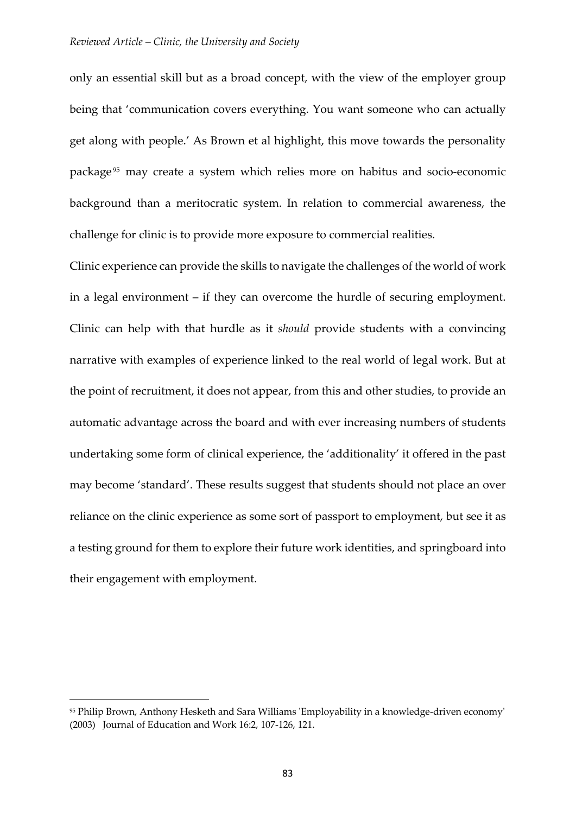only an essential skill but as a broad concept, with the view of the employer group being that 'communication covers everything. You want someone who can actually get along with people.' As Brown et al highlight, this move towards the personality package<sup>[95](#page-30-0)</sup> may create a system which relies more on habitus and socio-economic background than a meritocratic system. In relation to commercial awareness, the challenge for clinic is to provide more exposure to commercial realities.

Clinic experience can provide the skills to navigate the challenges of the world of work in a legal environment – if they can overcome the hurdle of securing employment. Clinic can help with that hurdle as it *should* provide students with a convincing narrative with examples of experience linked to the real world of legal work. But at the point of recruitment, it does not appear, from this and other studies, to provide an automatic advantage across the board and with ever increasing numbers of students undertaking some form of clinical experience, the 'additionality' it offered in the past may become 'standard'. These results suggest that students should not place an over reliance on the clinic experience as some sort of passport to employment, but see it as a testing ground for them to explore their future work identities, and springboard into their engagement with employment.

<span id="page-30-0"></span><sup>95</sup> Philip Brown, Anthony Hesketh and Sara Williams 'Employability in a knowledge-driven economy' (2003) Journal of Education and Work 16:2, 107-126, 121.